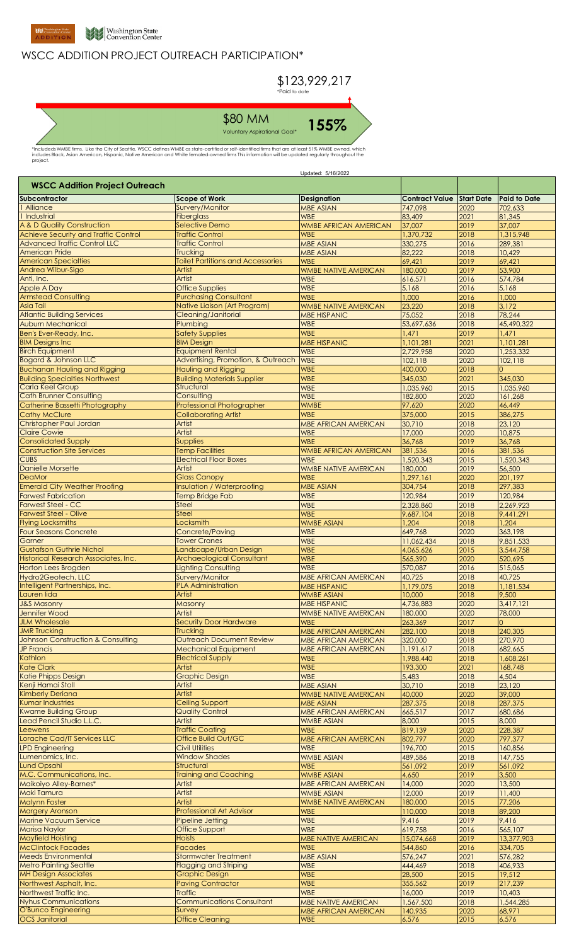

## WSCC ADDITION PROJECT OUTREACH PARTICIPATION\*



\*Includeds WMBE firms. Like the City of Seattle, WSCC defines WMBE as state-certified or self-identified firms that are at least 51% WMBE owned, which<br>includes Black, Asian American, Hispanic, Native American and White fem

|                                                               |                                                    | Updated: 5/16/2022                 |                                  |              |                      |
|---------------------------------------------------------------|----------------------------------------------------|------------------------------------|----------------------------------|--------------|----------------------|
| <b>WSCC Addition Project Outreach</b>                         |                                                    |                                    |                                  |              |                      |
| Subcontractor                                                 | <b>Scope of Work</b>                               | <b>Designation</b>                 | <b>Contract Value Start Date</b> |              | <b>Paid to Date</b>  |
| 1 Alliance                                                    | Survery/Monitor                                    | <b>MBE ASIAN</b>                   | 747,098                          | 2020         | 702,633              |
| 1 Industrial                                                  | <b>Fiberglass</b>                                  | <b>WBE</b>                         | 83,409                           | 2021         | 81,345               |
| A & D Quality Construction                                    | <b>Selective Demo</b>                              | <b>WMBE AFRICAN AMERICAN</b>       | 37,007                           | 2019         | 37,007               |
| <b>Achieve Security and Traffic Control</b>                   | <b>Traffic Control</b>                             | <b>WBE</b>                         | 1,370,732                        | 2018         | 1,315,948            |
| <b>Advanced Traffic Control LLC</b>                           | <b>Traffic Control</b>                             | <b>MBE ASIAN</b>                   | 330,275                          | 2016         | 289,381              |
| <b>American Pride</b>                                         | Trucking                                           | <b>MBE ASIAN</b>                   | 82,222                           | 2018         | 10,429               |
| <b>American Specialties</b>                                   | <b>Toilet Partitions and Accessories</b>           | <b>WBE</b>                         | 69,421                           | 2019         | 69,421               |
| Andrea Wilbur-Sigo                                            | Artist                                             | <b>WMBE NATIVE AMERICAN</b>        | 180,000                          | 2019         | 53,900               |
| Anti, Inc.                                                    | Artist                                             | <b>WBE</b>                         | 616,571                          | 2016         | 574,784              |
| Apple A Day                                                   | <b>Office Supplies</b>                             | <b>WBE</b>                         | 5,168                            | 2016         | 5,168                |
| <b>Armstead Consulting</b>                                    | <b>Purchasing Consultant</b>                       | <b>WBE</b>                         | 1,000                            | 2016         | 1,000                |
| <b>Asia Tail</b>                                              | Native Liaison (Art Program)                       | <b>WMBE NATIVE AMERICAN</b>        | 23,220                           | 2018         | 3,172                |
| <b>Atlantic Building Services</b><br><b>Auburn Mechanical</b> | Cleaning/Janitorial<br>Plumbing                    | <b>MBE HISPANIC</b><br><b>WBE</b>  | 75,052<br>53,697,636             | 2018<br>2018 | 78,244<br>45,490,322 |
| Ben's Ever-Ready, Inc.                                        | <b>Safety Supplies</b>                             | <b>WBE</b>                         | 1,471                            | 2019         | 1,471                |
| <b>BIM Designs Inc</b>                                        | <b>BIM Design</b>                                  | <b>MBE HISPANIC</b>                | 1,101,281                        | 2021         | 1,101,281            |
| <b>Birch Equipment</b>                                        | <b>Equipment Rental</b>                            | <b>WBE</b>                         | 2,729,958                        | 2020         | 1,253,332            |
| <b>Bogard &amp; Johnson LLC</b>                               | Advertising, Promotion, & Outreach                 | <b>WBE</b>                         | 102,118                          | 2020         | 102,118              |
| <b>Buchanan Hauling and Rigging</b>                           | Hauling and Rigging                                | <b>WBE</b>                         | 400,000                          | 2018         | $\Omega$             |
| <b>Building Specialties Northwest</b>                         | <b>Building Materials Supplier</b>                 | <b>WBE</b>                         | 345,030                          | 2021         | 345,030              |
| <b>Carla Keel Group</b>                                       | Structural                                         | <b>WBE</b>                         | 1,035,960                        | 2015         | 1,035,960            |
| <b>Cath Brunner Consulting</b>                                | Consulting                                         | <b>WBE</b>                         | 182,800                          | 2020         | 161,268              |
| <b>Catherine Bassetti Photography</b>                         | Professional Photographer                          | <b>WMBE</b>                        | 97,620                           | 2020         | 46,449               |
| <b>Cathy McClure</b>                                          | <b>Collaborating Artist</b>                        | <b>WBE</b>                         | 375,000                          | 2015         | 386,275              |
| Christopher Paul Jordan                                       | Artist                                             | <b>MBE AFRICAN AMERICAN</b>        | 30,710                           | 2018         | 23,120               |
| <b>Claire Cowie</b>                                           | Artist                                             | <b>WBE</b>                         | 17,000                           | 2020         | 10,875               |
| <b>Consolidated Supply</b>                                    | <b>Supplies</b>                                    | <b>WBE</b>                         | 36,768                           | 2019         | 36,768               |
| <b>Construction Site Services</b>                             | <b>Temp Facilities</b>                             | <b>WMBE AFRICAN AMERICAN</b>       | 381,536                          | 2016         | 381,536              |
| <b>CUBS</b>                                                   | <b>Electrical Floor Boxes</b>                      | <b>WBE</b>                         | 1,520,343                        | 2015         | 1,520,343            |
| <b>Danielle Morsette</b>                                      | Artist                                             | <b>WMBE NATIVE AMERICAN</b>        | 180,000                          | 2019         | 56,500               |
| <b>DeaMor</b>                                                 | <b>Glass Canopy</b>                                | <b>WBE</b>                         | 1,297,161                        | 2020         | 201,197              |
| <b>Emerald City Weather Proofing</b>                          | Insulation / Waterproofing                         | <b>MBE ASIAN</b>                   | 304,754                          | 2018         | 297,383              |
| <b>Farwest Fabrication</b>                                    | <b>Temp Bridge Fab</b>                             | <b>WBE</b>                         | 120,984                          | 2019         | 120,984              |
| <b>Farwest Steel - CC</b>                                     | <b>Steel</b>                                       | <b>WBE</b>                         | 2,328,860                        | 2018         | 2,269,923            |
| <b>Farwest Steel - Olive</b>                                  | <b>Steel</b>                                       | <b>WBE</b>                         | 9,687,104                        | 2018         | 9,441,291            |
| <b>Flying Locksmiths</b>                                      | Locksmith                                          | <b>WMBE ASIAN</b>                  | 1,204                            | 2018         | 1,204                |
| <b>Four Seasons Concrete</b>                                  | Concrete/Paving                                    | <b>WBE</b>                         | 649,768                          | 2020         | 363,198              |
| Garner                                                        | <b>Tower Cranes</b>                                | <b>WBE</b>                         | 11,062,434                       | 2018         | 9,851,533            |
| <b>Gustafson Guthrie Nichol</b>                               | Landscape/Urban Design                             | <b>WBE</b>                         | 4,065,626                        | 2015         | 3,544,758            |
| Historical Research Associates, Inc.                          | <b>Archaeological Consultant</b>                   | <b>WBE</b>                         | 565,390                          | 2020         | 520,695              |
| <b>Horton Lees Brogden</b>                                    | <b>Lighting Consulting</b>                         | <b>WBE</b>                         | 570,087                          | 2016         | 515,065              |
| Hydro2Geotech, LLC                                            | Survery/Monitor                                    | MBE AFRICAN AMERICAN               | 40,725                           | 2018         | 40,725               |
| Intelligent Partnerships, Inc.                                | <b>PLA Administration</b>                          | <b>MBE HISPANIC</b>                | 1,179,075                        | 2018         | 1,181,534            |
| Lauren lida                                                   | Artist                                             | <b>WMBE ASIAN</b>                  | 10,000<br>4,736,883              | 2018         | 9,500                |
| <b>J&amp;S Masonry</b><br>Jennifer Wood                       | Masonry<br>Artist                                  | <b>MBE HISPANIC</b>                |                                  | 2020         | 3,417,121            |
| <b>JLM Wholesale</b>                                          | <b>Security Door Hardware</b>                      | <b>WMBE NATIVE AMERICAN</b>        | 180,000                          | 2020<br>2017 | 78,000<br>$\Omega$   |
| <b>JMR Trucking</b>                                           | <b>Trucking</b>                                    | <b>WBE</b><br>MBE AFRICAN AMERICAN | 263,369<br>282,100               | 2018         | 240,305              |
| <b>Johnson Construction &amp; Consulting</b>                  | <b>Outreach Document Review</b>                    | <b>MBE AFRICAN AMERICAN</b>        | 320,000                          | 2018         | 270.970              |
| <b>JP Francis</b>                                             | <b>Mechanical Equipment</b>                        | <b>MBE AFRICAN AMERICAN</b>        | 1,191,617                        | 2018         | 682,665              |
| Kathlon                                                       | <b>Electrical Supply</b>                           | <b>WBE</b>                         | 1,988,440                        | 2018         | 1,608,261            |
| <b>Kate Clark</b>                                             | Artist                                             | <b>WBE</b>                         | 193,300                          | 2021         | 168,748              |
| <b>Katie Phipps Design</b>                                    | <b>Graphic Design</b>                              | <b>WBE</b>                         | 5,483                            | 2018         | 4,504                |
| Kenji Hamai Stoll                                             | Artist                                             | <b>MBE ASIAN</b>                   | 30,710                           | 2018         | 23,120               |
| <b>Kimberly Deriana</b>                                       | Artist                                             | <b>WMBE NATIVE AMERICAN</b>        | 40,000                           | 2020         | 39,000               |
| <b>Kumar Industries</b>                                       | <b>Ceiling Support</b>                             | <b>MBE ASIAN</b>                   | 287,375                          | 2018         | 287,375              |
| <b>Kwame Building Group</b>                                   | <b>Quality Control</b>                             | <b>MBE AFRICAN AMERICAN</b>        | 665,517                          | 2017         | 680,686              |
| Lead Pencil Studio L.L.C.                                     | Artist                                             | <b>WMBE ASIAN</b>                  | 8,000                            | 2015         | 8,000                |
| Leewens                                                       | <b>Traffic Coating</b>                             | <b>WBE</b>                         | 819,139                          | 2020         | 228,387              |
| <b>Lorache Cad/IT Services LLC</b>                            | Office Build Out/GC                                | <b>MBE AFRICAN AMERICAN</b>        | 802,797                          | 2020         | 797,377              |
| <b>LPD Engineering</b>                                        | <b>Civil Utilities</b>                             | <b>WBE</b>                         | 196,700                          | 2015         | 160,856              |
| Lumenomics, Inc.                                              | <b>Window Shades</b>                               | <b>WMBE ASIAN</b>                  | 489,586                          | 2018         | 147,755              |
| <b>Lund Opsahl</b>                                            | Structural                                         | <b>WBE</b>                         | 561,092                          | 2019         | 561,092              |
| M.C. Communications, Inc.                                     | <b>Training and Coaching</b>                       | <b>WMBE ASIAN</b>                  | 4,650                            | 2019         | 3,500                |
| Maikoiyo Alley-Barnes*                                        | Artist                                             | MBE AFRICAN AMERICAN               | 14,000                           | 2020         | 13,500               |
| Maki Tamura                                                   | Artist                                             | <b>WMBE ASIAN</b>                  | 12,000                           | 2019         | 11,400               |
| <b>Malynn Foster</b>                                          | Artist                                             | <b>WMBE NATIVE AMERICAN</b>        | 180,000                          | 2015         | 77,206               |
| <b>Margery Aronson</b>                                        | <b>Professional Art Advisor</b>                    | <b>WBE</b>                         | 110,000                          | 2018         | 89,200               |
| <b>Marine Vacuum Service</b>                                  | Pipeline Jetting                                   | WBE                                | 9,416                            | 2019         | 9,416                |
| <b>Marisa Naylor</b>                                          | Office Support                                     | <b>WBE</b>                         | 619,758                          | 2016         | 565,107              |
| <b>Mayfield Hoisting</b>                                      | <b>Hoists</b>                                      | <b>MBE NATIVE AMERICAN</b>         | 15,074,668                       | 2019         | 13,377,903           |
| <b>McClintock Facades</b>                                     | <b>Facades</b>                                     | <b>WBE</b>                         | 544,860                          | 2016         | 334,705              |
| <b>Meeds Environmental</b>                                    | <b>Stormwater Treatment</b>                        | <b>MBE ASIAN</b>                   | 576,247                          | 2021         | 576,282              |
| <b>Metro Painting Seattle</b>                                 | Flagging and Striping<br><b>Graphic Design</b>     | <b>WBE</b>                         | 444,469                          | 2018         | 406,933              |
| <b>MH Design Associates</b>                                   |                                                    | <b>WBE</b>                         | 28,500                           | 2015         | 19,512<br>217,239    |
| Northwest Asphalt, Inc.                                       | <b>Paving Contractor</b>                           | <b>WBE</b><br><b>WBE</b>           | 355,562<br>16,000                | 2019         | 10,403               |
| Northwest Traffic Inc.<br><b>Nyhus Communications</b>         | <b>Traffic</b><br><b>Communications Consultant</b> | <b>MBE NATIVE AMERICAN</b>         | 1,567,500                        | 2019<br>2018 | 1,544,285            |
| O'Bunco Engineering                                           | Survey                                             | MBE AFRICAN AMERICAN               | 140,935                          | 2020         | 68,971               |
| <b>OCS Janitorial</b>                                         | <b>Office Cleaning</b>                             | <b>WBE</b>                         | 6,576                            | 2015         | 6,576                |
|                                                               |                                                    |                                    |                                  |              |                      |